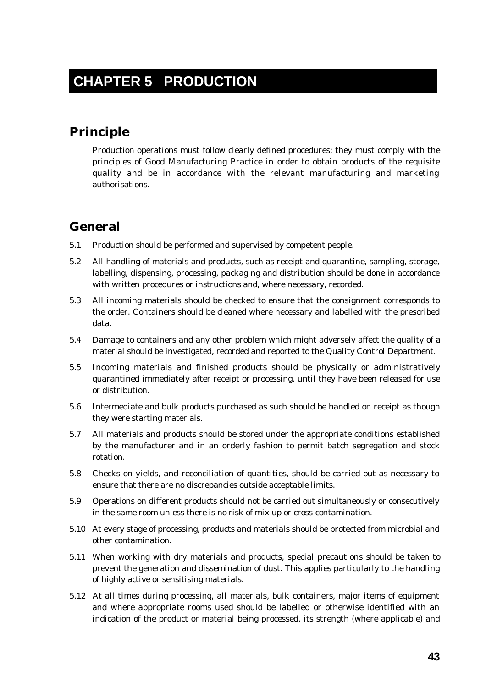# **CHAPTER 5 PRODUCTION**

## **Principle**

Production operations must follow clearly defined procedures; they must comply with the principles of Good Manufacturing Practice in order to obtain products of the requisite quality and be in accordance with the relevant manufacturing and marketing authorisations.

## **General**

- 5.1 Production should be performed and supervised by competent people.
- 5.2 All handling of materials and products, such as receipt and quarantine, sampling, storage, labelling, dispensing, processing, packaging and distribution should be done in accordance with written procedures or instructions and, where necessary, recorded.
- 5.3 All incoming materials should be checked to ensure that the consignment corresponds to the order. Containers should be cleaned where necessary and labelled with the prescribed data.
- 5.4 Damage to containers and any other problem which might adversely affect the quality of a material should be investigated, recorded and reported to the Quality Control Department.
- 5.5 Incoming materials and finished products should be physically or administratively quarantined immediately after receipt or processing, until they have been released for use or distribution.
- 5.6 Intermediate and bulk products purchased as such should be handled on receipt as though they were starting materials.
- 5.7 All materials and products should be stored under the appropriate conditions established by the manufacturer and in an orderly fashion to permit batch segregation and stock rotation.
- 5.8 Checks on yields, and reconciliation of quantities, should be carried out as necessary to ensure that there are no discrepancies outside acceptable limits.
- 5.9 Operations on different products should not be carried out simultaneously or consecutively in the same room unless there is no risk of mix-up or cross-contamination.
- 5.10 At every stage of processing, products and materials should be protected from microbial and other contamination.
- 5.11 When working with dry materials and products, special precautions should be taken to prevent the generation and dissemination of dust. This applies particularly to the handling of highly active or sensitising materials.
- 5.12 At all times during processing, all materials, bulk containers, major items of equipment and where appropriate rooms used should be labelled or otherwise identified with an indication of the product or material being processed, its strength (where applicable) and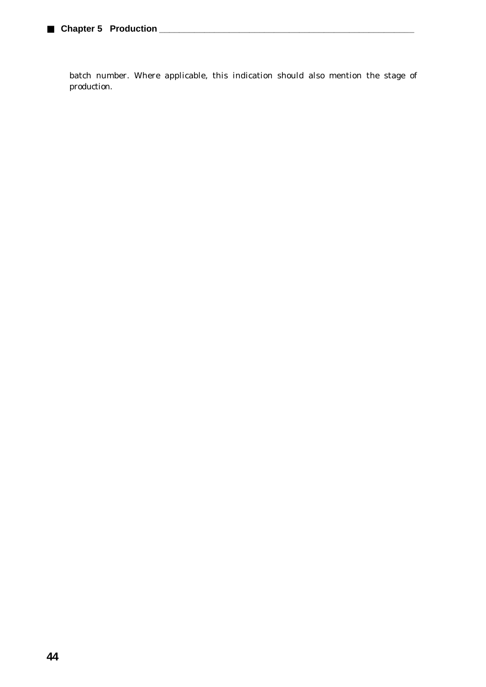batch number. Where applicable, this indication should also mention the stage of production.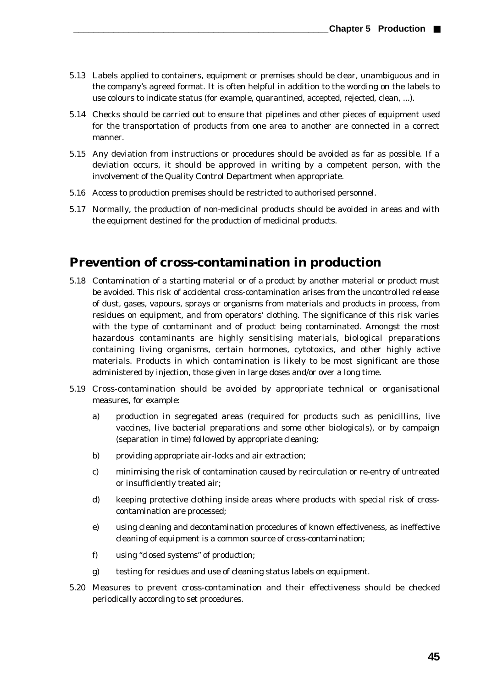- 5.13 Labels applied to containers, equipment or premises should be clear, unambiguous and in the company's agreed format. It is often helpful in addition to the wording on the labels to use colours to indicate status (for example, quarantined, accepted, rejected, clean, ...).
- 5.14 Checks should be carried out to ensure that pipelines and other pieces of equipment used for the transportation of products from one area to another are connected in a correct manner.
- 5.15 Any deviation from instructions or procedures should be avoided as far as possible. If a deviation occurs, it should be approved in writing by a competent person, with the involvement of the Quality Control Department when appropriate.
- 5.16 Access to production premises should be restricted to authorised personnel.
- 5.17 Normally, the production of non-medicinal products should be avoided in areas and with the equipment destined for the production of medicinal products.

#### **Prevention of cross-contamination in production**

- 5.18 Contamination of a starting material or of a product by another material or product must be avoided. This risk of accidental cross-contamination arises from the uncontrolled release of dust, gases, vapours, sprays or organisms from materials and products in process, from residues on equipment, and from operators' clothing. The significance of this risk varies with the type of contaminant and of product being contaminated. Amongst the most hazardous contaminants are highly sensitising materials, biological preparations containing living organisms, certain hormones, cytotoxics, and other highly active materials. Products in which contamination is likely to be most significant are those administered by injection, those given in large doses and/or over a long time.
- 5.19 Cross-contamination should be avoided by appropriate technical or organisational measures, for example:
	- a) production in segregated areas (required for products such as penicillins, live vaccines, live bacterial preparations and some other biologicals), or by campaign (separation in time) followed by appropriate cleaning;
	- b) providing appropriate air-locks and air extraction;
	- c) minimising the risk of contamination caused by recirculation or re-entry of untreated or insufficiently treated air;
	- d) keeping protective clothing inside areas where products with special risk of crosscontamination are processed;
	- e) using cleaning and decontamination procedures of known effectiveness, as ineffective cleaning of equipment is a common source of cross-contamination;
	- f) using "closed systems" of production;
	- g) testing for residues and use of cleaning status labels on equipment.
- 5.20 Measures to prevent cross-contamination and their effectiveness should be checked periodically according to set procedures.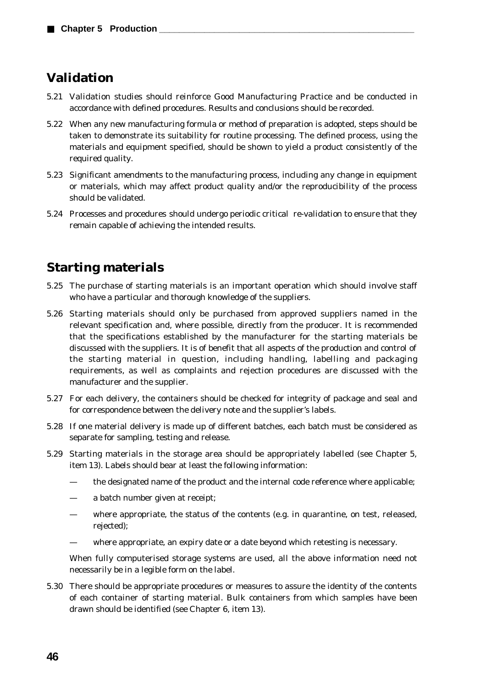## **Validation**

- 5.21 Validation studies should reinforce Good Manufacturing Practice and be conducted in accordance with defined procedures. Results and conclusions should be recorded.
- 5.22 When any new manufacturing formula or method of preparation is adopted, steps should be taken to demonstrate its suitability for routine processing. The defined process, using the materials and equipment specified, should be shown to yield a product consistently of the required quality.
- 5.23 Significant amendments to the manufacturing process, including any change in equipment or materials, which may affect product quality and/or the reproducibility of the process should be validated.
- 5.24 Processes and procedures should undergo periodic critical re-validation to ensure that they remain capable of achieving the intended results.

## **Starting materials**

- 5.25 The purchase of starting materials is an important operation which should involve staff who have a particular and thorough knowledge of the suppliers.
- 5.26 Starting materials should only be purchased from approved suppliers named in the relevant specification and, where possible, directly from the producer. It is recommended that the specifications established by the manufacturer for the starting materials be discussed with the suppliers. It is of benefit that all aspects of the production and control of the starting material in question, including handling, labelling and packaging requirements, as well as complaints and rejection procedures are discussed with the manufacturer and the supplier.
- 5.27 For each delivery, the containers should be checked for integrity of package and seal and for correspondence between the delivery note and the supplier's labels.
- 5.28 If one material delivery is made up of different batches, each batch must be considered as separate for sampling, testing and release.
- 5.29 Starting materials in the storage area should be appropriately labelled (see Chapter 5, item 13). Labels should bear at least the following information:
	- the designated name of the product and the internal code reference where applicable;
	- a batch number given at receipt;
	- where appropriate, the status of the contents (e.g. in quarantine, on test, released, rejected);
	- where appropriate, an expiry date or a date beyond which retesting is necessary.

When fully computerised storage systems are used, all the above information need not necessarily be in a legible form on the label.

5.30 There should be appropriate procedures or measures to assure the identity of the contents of each container of starting material. Bulk containers from which samples have been drawn should be identified (see Chapter 6, item 13).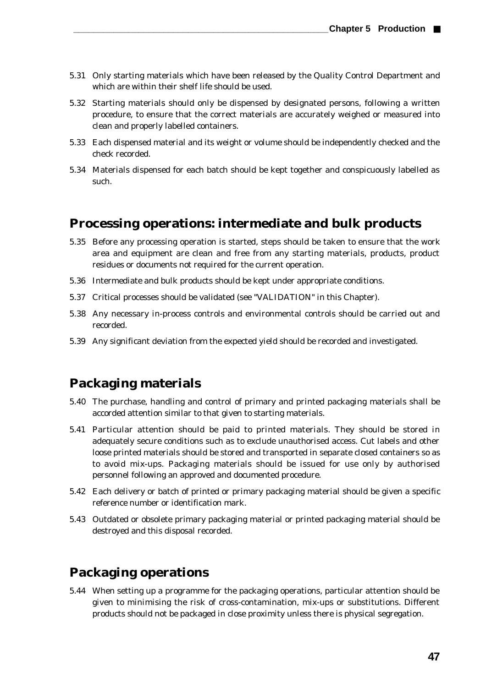- 5.31 Only starting materials which have been released by the Quality Control Department and which are within their shelf life should be used.
- 5.32 Starting materials should only be dispensed by designated persons, following a written procedure, to ensure that the correct materials are accurately weighed or measured into clean and properly labelled containers.
- 5.33 Each dispensed material and its weight or volume should be independently checked and the check recorded.
- 5.34 Materials dispensed for each batch should be kept together and conspicuously labelled as such.

#### **Processing operations: intermediate and bulk products**

- 5.35 Before any processing operation is started, steps should be taken to ensure that the work area and equipment are clean and free from any starting materials, products, product residues or documents not required for the current operation.
- 5.36 Intermediate and bulk products should be kept under appropriate conditions.
- 5.37 Critical processes should be validated (see "VALIDATION" in this Chapter).
- 5.38 Any necessary in-process controls and environmental controls should be carried out and recorded.
- 5.39 Any significant deviation from the expected yield should be recorded and investigated.

### **Packaging materials**

- 5.40 The purchase, handling and control of primary and printed packaging materials shall be accorded attention similar to that given to starting materials.
- 5.41 Particular attention should be paid to printed materials. They should be stored in adequately secure conditions such as to exclude unauthorised access. Cut labels and other loose printed materials should be stored and transported in separate closed containers so as to avoid mix-ups. Packaging materials should be issued for use only by authorised personnel following an approved and documented procedure.
- 5.42 Each delivery or batch of printed or primary packaging material should be given a specific reference number or identification mark.
- 5.43 Outdated or obsolete primary packaging material or printed packaging material should be destroyed and this disposal recorded.

## **Packaging operations**

5.44 When setting up a programme for the packaging operations, particular attention should be given to minimising the risk of cross-contamination, mix-ups or substitutions. Different products should not be packaged in close proximity unless there is physical segregation.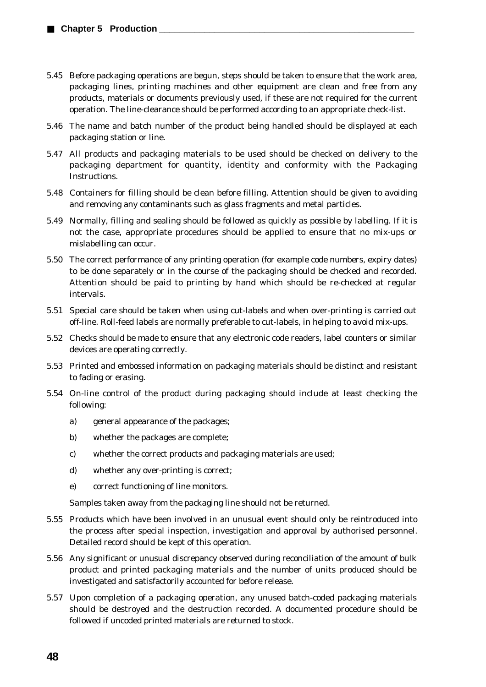- 5.45 Before packaging operations are begun, steps should be taken to ensure that the work area, packaging lines, printing machines and other equipment are clean and free from any products, materials or documents previously used, if these are not required for the current operation. The line-clearance should be performed according to an appropriate check-list.
- 5.46 The name and batch number of the product being handled should be displayed at each packaging station or line.
- 5.47 All products and packaging materials to be used should be checked on delivery to the packaging department for quantity, identity and conformity with the Packaging **Instructions**
- 5.48 Containers for filling should be clean before filling. Attention should be given to avoiding and removing any contaminants such as glass fragments and metal particles.
- 5.49 Normally, filling and sealing should be followed as quickly as possible by labelling. If it is not the case, appropriate procedures should be applied to ensure that no mix-ups or mislabelling can occur.
- 5.50 The correct performance of any printing operation (for example code numbers, expiry dates) to be done separately or in the course of the packaging should be checked and recorded. Attention should be paid to printing by hand which should be re-checked at regular intervals.
- 5.51 Special care should be taken when using cut-labels and when over-printing is carried out off-line. Roll-feed labels are normally preferable to cut-labels, in helping to avoid mix-ups.
- 5.52 Checks should be made to ensure that any electronic code readers, label counters or similar devices are operating correctly.
- 5.53 Printed and embossed information on packaging materials should be distinct and resistant to fading or erasing.
- 5.54 On-line control of the product during packaging should include at least checking the following:
	- a) general appearance of the packages;
	- b) whether the packages are complete;
	- c) whether the correct products and packaging materials are used;
	- d) whether any over-printing is correct;
	- e) correct functioning of line monitors.

Samples taken away from the packaging line should not be returned.

- 5.55 Products which have been involved in an unusual event should only be reintroduced into the process after special inspection, investigation and approval by authorised personnel. Detailed record should be kept of this operation.
- 5.56 Any significant or unusual discrepancy observed during reconciliation of the amount of bulk product and printed packaging materials and the number of units produced should be investigated and satisfactorily accounted for before release.
- 5.57 Upon completion of a packaging operation, any unused batch-coded packaging materials should be destroyed and the destruction recorded. A documented procedure should be followed if uncoded printed materials are returned to stock.